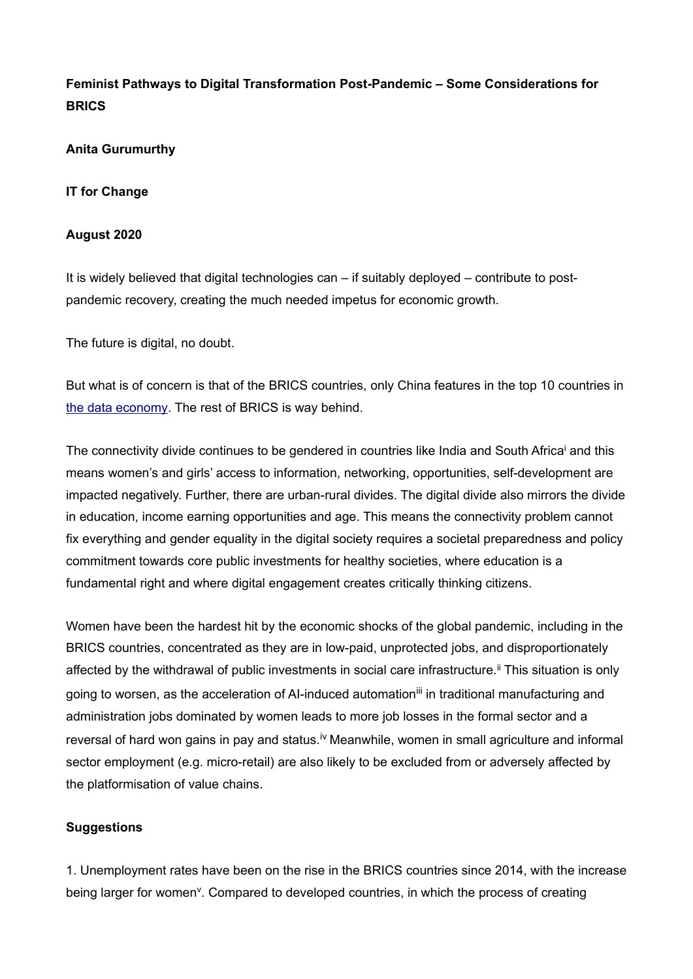## **Feminist Pathways to Digital Transformation Post-Pandemic – Some Considerations for BRICS**

**Anita Gurumurthy**

**IT for Change**

## **August 2020**

It is widely believed that digital technologies can – if suitably deployed – contribute to postpandemic recovery, creating the much needed impetus for economic growth.

The future is digital, no doubt.

But what is of concern is that of the BRICS countries, only China features in the top 10 countries in [the data economy](https://hbr.org/2019/01/which-countries-are-leading-the-data-economy). The rest of BRICS is way behind.

The connectivity divide continues to be gendered in countries like India and South Africa<sup>i</sup> and this means women's and girls' access to information, networking, opportunities, self-development are impacted negatively. Further, there are urban-rural divides. The digital divide also mirrors the divide in education, income earning opportunities and age. This means the connectivity problem cannot fix everything and gender equality in the digital society requires a societal preparedness and policy commitment towards core public investments for healthy societies, where education is a fundamental right and where digital engagement creates critically thinking citizens.

Women have been the hardest hit by the economic shocks of the global pandemic, including in the BRICS countries, concentrated as they are in low-paid, unprotected jobs, and disproportionately affected by the withdrawal of public investments in social care infrastructure.<sup>ii</sup> This situation is only going to worsen, as the acceleration of AI-induced automation<sup>iii</sup> in traditional manufacturing and administration jobs dominated by women leads to more job losses in the formal sector and a reversal of hard won gains in pay and status.<sup>iv</sup> Meanwhile, women in small agriculture and informal sector employment (e.g. micro-retail) are also likely to be excluded from or adversely affected by the platformisation of value chains.

## **Suggestions**

1. Unemployment rates have been on the rise in the BRICS countries since 2014, with the increase being larger for women<sup>y</sup>. Compared to developed countries, in which the process of creating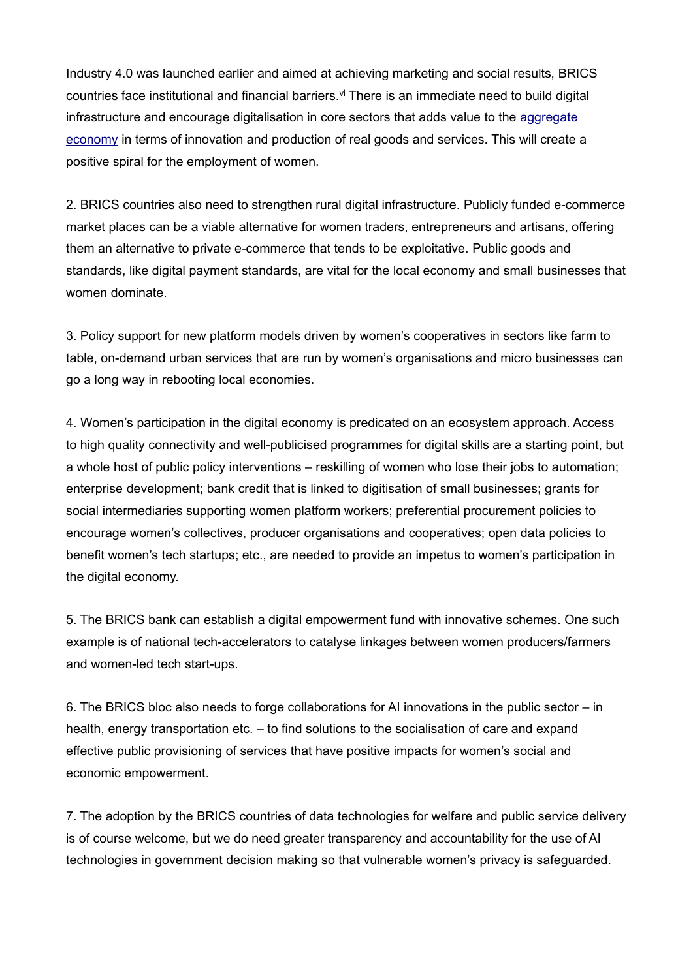Industry 4.0 was launched earlier and aimed at achieving marketing and social results, BRICS countries face institutional and financial barriers.<sup>vi</sup> There is an immediate need to build digital infrastructure and encourage digitalisation in core sectors that adds value to the [aggregate](https://www0.gsb.columbia.edu/faculty/lveldkamp/papers/JEL_MacroDataLV_v7.pdf)  [economy](https://www0.gsb.columbia.edu/faculty/lveldkamp/papers/JEL_MacroDataLV_v7.pdf) in terms of innovation and production of real goods and services. This will create a positive spiral for the employment of women.

2. BRICS countries also need to strengthen rural digital infrastructure. Publicly funded e-commerce market places can be a viable alternative for women traders, entrepreneurs and artisans, offering them an alternative to private e-commerce that tends to be exploitative. Public goods and standards, like digital payment standards, are vital for the local economy and small businesses that women dominate.

3. Policy support for new platform models driven by women's cooperatives in sectors like farm to table, on-demand urban services that are run by women's organisations and micro businesses can go a long way in rebooting local economies.

4. Women's participation in the digital economy is predicated on an ecosystem approach. Access to high quality connectivity and well-publicised programmes for digital skills are a starting point, but a whole host of public policy interventions – reskilling of women who lose their jobs to automation; enterprise development; bank credit that is linked to digitisation of small businesses; grants for social intermediaries supporting women platform workers; preferential procurement policies to encourage women's collectives, producer organisations and cooperatives; open data policies to benefit women's tech startups; etc., are needed to provide an impetus to women's participation in the digital economy.

5. The BRICS bank can establish a digital empowerment fund with innovative schemes. One such example is of national tech-accelerators to catalyse linkages between women producers/farmers and women-led tech start-ups.

6. The BRICS bloc also needs to forge collaborations for AI innovations in the public sector – in health, energy transportation etc. – to find solutions to the socialisation of care and expand effective public provisioning of services that have positive impacts for women's social and economic empowerment.

7. The adoption by the BRICS countries of data technologies for welfare and public service delivery is of course welcome, but we do need greater transparency and accountability for the use of AI technologies in government decision making so that vulnerable women's privacy is safeguarded.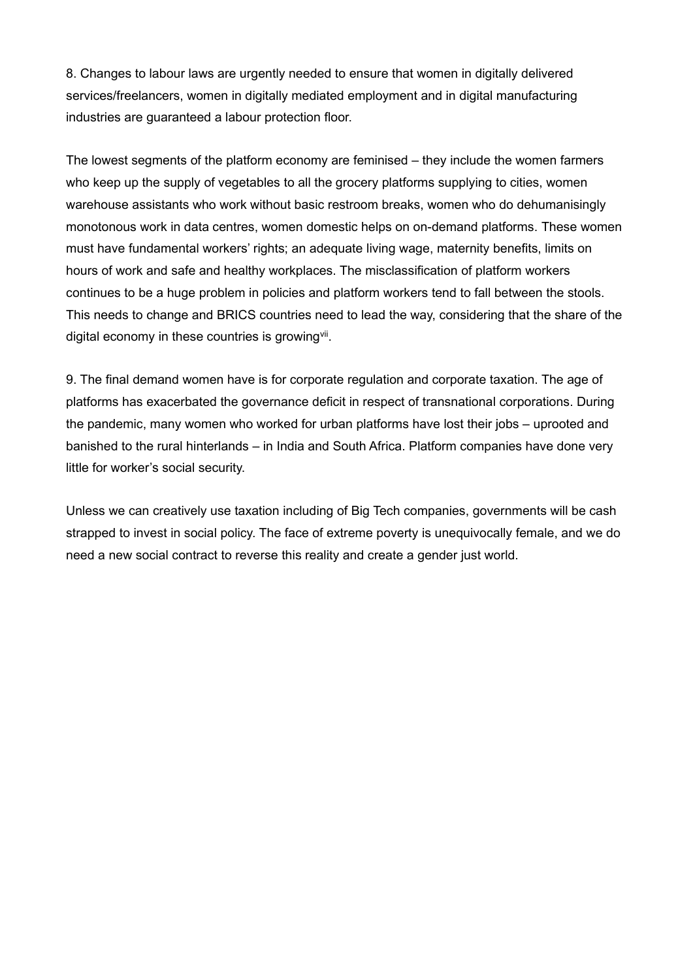8. Changes to labour laws are urgently needed to ensure that women in digitally delivered services/freelancers, women in digitally mediated employment and in digital manufacturing industries are guaranteed a labour protection floor.

The lowest segments of the platform economy are feminised – they include the women farmers who keep up the supply of vegetables to all the grocery platforms supplying to cities, women warehouse assistants who work without basic restroom breaks, women who do dehumanisingly monotonous work in data centres, women domestic helps on on-demand platforms. These women must have fundamental workers' rights; an adequate living wage, maternity benefits, limits on hours of work and safe and healthy workplaces. The misclassification of platform workers continues to be a huge problem in policies and platform workers tend to fall between the stools. This needs to change and BRICS countries need to lead the way, considering that the share of the digital economy in these countries is growing<sup>vii</sup>.

9. The final demand women have is for corporate regulation and corporate taxation. The age of platforms has exacerbated the governance deficit in respect of transnational corporations. During the pandemic, many women who worked for urban platforms have lost their jobs – uprooted and banished to the rural hinterlands – in India and South Africa. Platform companies have done very little for worker's social security.

Unless we can creatively use taxation including of Big Tech companies, governments will be cash strapped to invest in social policy. The face of extreme poverty is unequivocally female, and we do need a new social contract to reverse this reality and create a gender just world.